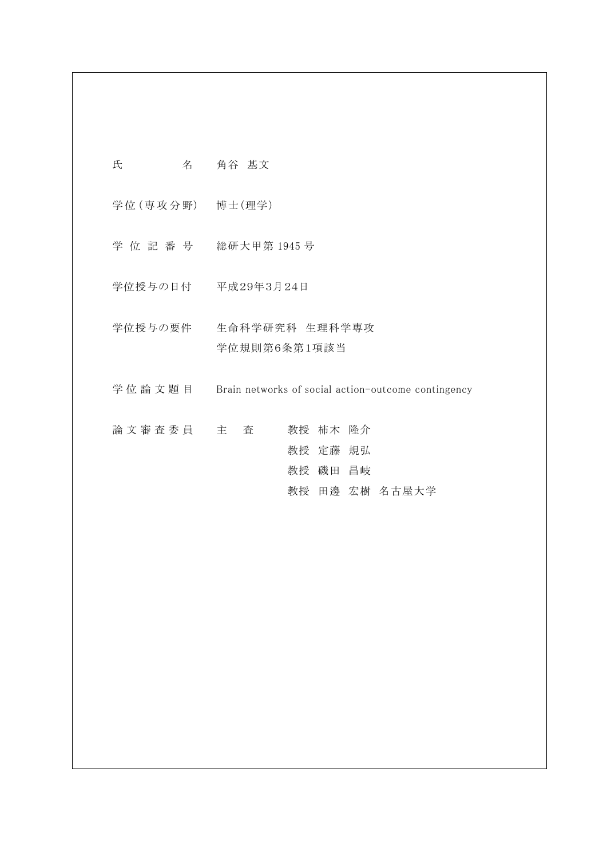| 名<br>氏           | 角谷 基文                                               |
|------------------|-----------------------------------------------------|
| 学位 (専攻分野) 博士(理学) |                                                     |
|                  | 学位記番号 総研大甲第1945号                                    |
|                  | 学位授与の日付 平成29年3月24日                                  |
| 学位授与の要件          | 生命科学研究科 生理科学専攻<br>学位規則第6条第1項該当                      |
| 学位 論 文 題 目       | Brain networks of social action-outcome contingency |
| 論文審査委員 主 査       | 教授 柿木 隆介<br>教授 定藤 規弘<br>教授 磯田 昌岐<br>教授 田邊 宏樹 名古屋大学  |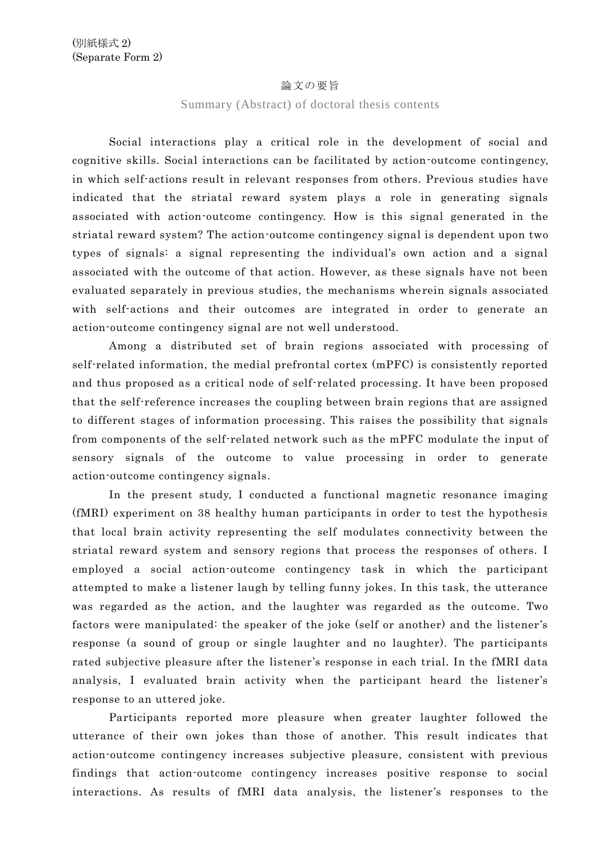## 論文の要旨

Summary (Abstract) of doctoral thesis contents

Social interactions play a critical role in the development of social and cognitive skills. Social interactions can be facilitated by action-outcome contingency, in which self-actions result in relevant responses from others. Previous studies have indicated that the striatal reward system plays a role in generating signals associated with action-outcome contingency. How is this signal generated in the striatal reward system? The action-outcome contingency signal is dependent upon two types of signals: a signal representing the individual's own action and a signal associated with the outcome of that action. However, as these signals have not been evaluated separately in previous studies, the mechanisms wherein signals associated with self-actions and their outcomes are integrated in order to generate an action-outcome contingency signal are not well understood.

Among a distributed set of brain regions associated with processing of self-related information, the medial prefrontal cortex (mPFC) is consistently reported and thus proposed as a critical node of self-related processing. It have been proposed that the self-reference increases the coupling between brain regions that are assigned to different stages of information processing. This raises the possibility that signals from components of the self-related network such as the mPFC modulate the input of sensory signals of the outcome to value processing in order to generate action-outcome contingency signals.

In the present study, I conducted a functional magnetic resonance imaging (fMRI) experiment on 38 healthy human participants in order to test the hypothesis that local brain activity representing the self modulates connectivity between the striatal reward system and sensory regions that process the responses of others. I employed a social action-outcome contingency task in which the participant attempted to make a listener laugh by telling funny jokes. In this task, the utterance was regarded as the action, and the laughter was regarded as the outcome. Two factors were manipulated: the speaker of the joke (self or another) and the listener's response (a sound of group or single laughter and no laughter). The participants rated subjective pleasure after the listener's response in each trial. In the fMRI data analysis, I evaluated brain activity when the participant heard the listener's response to an uttered joke.

Participants reported more pleasure when greater laughter followed the utterance of their own jokes than those of another. This result indicates that action-outcome contingency increases subjective pleasure, consistent with previous findings that action-outcome contingency increases positive response to social interactions. As results of fMRI data analysis, the listener's responses to the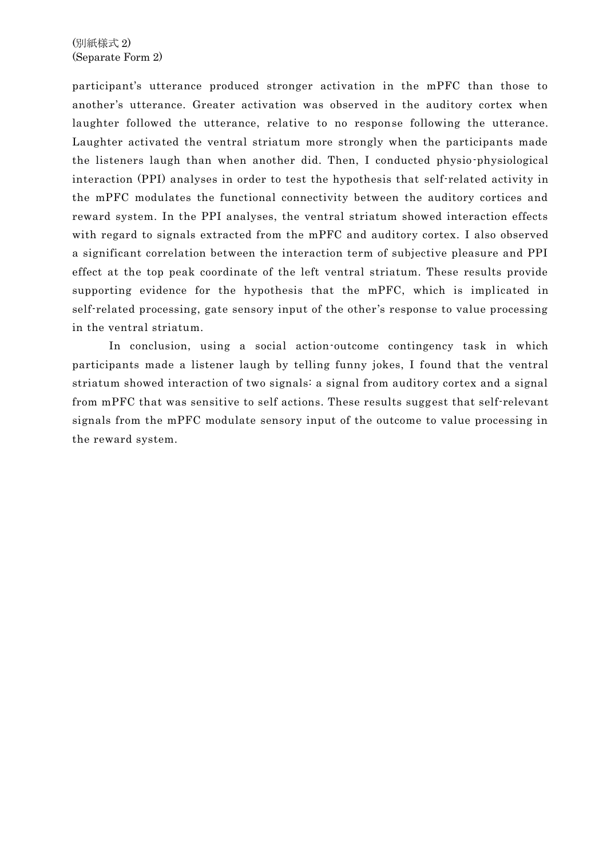(別紙様式 2) (Separate Form 2)

participant's utterance produced stronger activation in the mPFC than those to another's utterance. Greater activation was observed in the auditory cortex when laughter followed the utterance, relative to no response following the utterance. Laughter activated the ventral striatum more strongly when the participants made the listeners laugh than when another did. Then, I conducted physio-physiological interaction (PPI) analyses in order to test the hypothesis that self-related activity in the mPFC modulates the functional connectivity between the auditory cortices and reward system. In the PPI analyses, the ventral striatum showed interaction effects with regard to signals extracted from the mPFC and auditory cortex. I also observed a significant correlation between the interaction term of subjective pleasure and PPI effect at the top peak coordinate of the left ventral striatum. These results provide supporting evidence for the hypothesis that the mPFC, which is implicated in self-related processing, gate sensory input of the other's response to value processing in the ventral striatum.

In conclusion, using a social action-outcome contingency task in which participants made a listener laugh by telling funny jokes, I found that the ventral striatum showed interaction of two signals: a signal from auditory cortex and a signal from mPFC that was sensitive to self actions. These results suggest that self-relevant signals from the mPFC modulate sensory input of the outcome to value processing in the reward system.